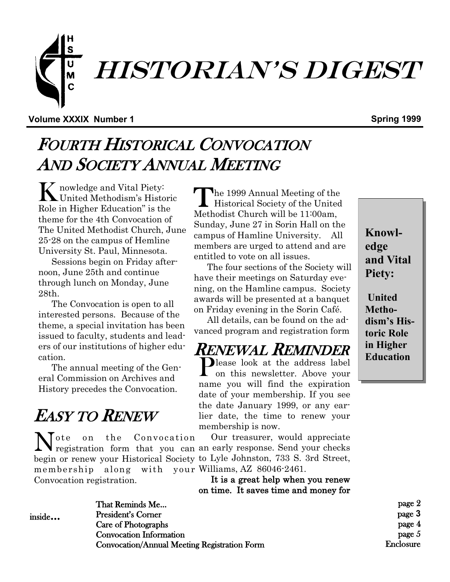

#### **Volume XXXIX Number 1 Spring 1999**

## FOURTH HISTORICAL CONVOCATION AND SOCIETY ANNUAL MEETING

K nowledge and Vital Piety: United Methodism's Historic Role in Higher Education" is the theme for the 4th Convocation of The United Methodist Church, June 25-28 on the campus of Hemline University St. Paul, Minnesota.

Sessions begin on Friday afternoon, June 25th and continue through lunch on Monday, June 28th.

The Convocation is open to all interested persons. Because of the theme, a special invitation has been issued to faculty, students and leaders of our institutions of higher education.

The annual meeting of the General Commission on Archives and History precedes the Convocation.

# EASY TO RENEW

membership along with your Williams, AZ 86046-2461. Convocation registration.

The 1999 Annual Meeting of the<br>Historical Society of the United he 1999 Annual Meeting of the Methodist Church will be 11:00am, Sunday, June 27 in Sorin Hall on the campus of Hamline University. All members are urged to attend and are entitled to vote on all issues.

The four sections of the Society will have their meetings on Saturday evening, on the Hamline campus. Society awards will be presented at a banquet on Friday evening in the Sorin Café.

All details, can be found on the advanced program and registration form

## RENEWAL REMINDER

Please look at the address label<br>on this newsletter. Above your **L** on this newsletter. Above your name you will find the expiration date of your membership. If you see the date January 1999, or any earlier date, the time to renew your membership is now.

 Our treasurer, would appreciate Note on the Convocation Our treasurer, would appreciate registration form that you can an early response. Send your checks begin or renew your Historical Society to Lyle Johnston, 733 S. 3rd Street,

 It is a great help when you renew on time. It saves time and money for

page 2 page **3** page 4 page 5 Enclosure

inside...

That Reminds Me... President's Corner Care of Photographs Convocation Information Convocation/Annual Meeting Registration Form

**edge and Vital Piety: United** 

**Knowl-**

**Methodism's Historic Role in Higher Education**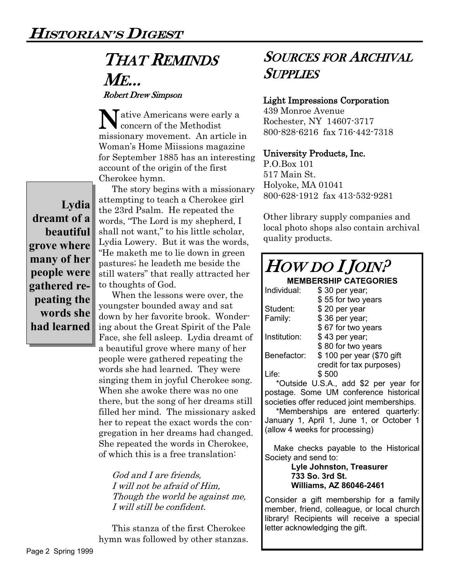## THAT REMINDS ME... Robert Drew Simpson

Native Americans were early a<br>concern of the Methodist concern of the Methodist missionary movement. An article in Woman's Home Miissions magazine for September 1885 has an interesting account of the origin of the first Cherokee hymn.

**Lydia dreamt of a beautiful grove where many of her people were gathered repeating the words she had learned**

The story begins with a missionary attempting to teach a Cherokee girl the 23rd Psalm. He repeated the words, "The Lord is my shepherd, I shall not want," to his little scholar, Lydia Lowery. But it was the words, "He maketh me to lie down in green pastures; he leadeth me beside the still waters" that really attracted her to thoughts of God.

When the lessons were over, the youngster bounded away and sat down by her favorite brook. Wondering about the Great Spirit of the Pale Face, she fell asleep. Lydia dreamt of a beautiful grove where many of her people were gathered repeating the words she had learned. They were singing them in joyful Cherokee song. When she awoke there was no one there, but the song of her dreams still filled her mind. The missionary asked her to repeat the exact words the congregation in her dreams had changed. She repeated the words in Cherokee, of which this is a free translation:

God and I are friends, I will not be afraid of Him, Though the world be against me, I will still be confident.

This stanza of the first Cherokee hymn was followed by other stanzas.

### SOURCES FOR ARCHIVAL **SUPPLIES**

#### Light Impressions Corporation

439 Monroe Avenue Rochester, NY 14607-3717 800-828-6216 fax 716-442-7318

#### University Products, Inc.

P.O.Box 101 517 Main St. Holyoke, MA 01041 800-628-1912 fax 413-532-9281

Other library supply companies and local photo shops also contain archival quality products.

| <i>HOW DO I JOIN?</i>                                                        |                                       |
|------------------------------------------------------------------------------|---------------------------------------|
| <b>MEMBERSHIP CATEGORIES</b>                                                 |                                       |
| Individual:                                                                  | \$30 per year;                        |
|                                                                              | \$55 for two years                    |
| Student:                                                                     | \$20 per year                         |
| Family:                                                                      | \$36 per year;                        |
|                                                                              | \$67 for two years                    |
| Institution:                                                                 | \$43 per year;                        |
|                                                                              | \$80 for two years                    |
| Benefactor:                                                                  | \$100 per year (\$70 gift             |
|                                                                              | credit for tax purposes)              |
| Life:                                                                        | \$500                                 |
|                                                                              | *Outside U.S.A., add \$2 per year for |
| postage. Some UM conference historical                                       |                                       |
| societies offer reduced joint memberships.                                   |                                       |
|                                                                              | *Memberships are entered quarterly:   |
| January 1, April 1, June 1, or October 1                                     |                                       |
| (allow 4 weeks for processing)                                               |                                       |
|                                                                              |                                       |
| Make checks payable to the Historical                                        |                                       |
| Society and send to:                                                         |                                       |
| Lyle Johnston, Treasurer                                                     |                                       |
| 733 So. 3rd St.                                                              |                                       |
|                                                                              | <b>Williams, AZ 86046-2461</b>        |
| Consider a gift membership for a family                                      |                                       |
| member, friend, colleague, or local church                                   |                                       |
| library! Recipients will receive a special<br>letter acknowledging the gift. |                                       |
|                                                                              |                                       |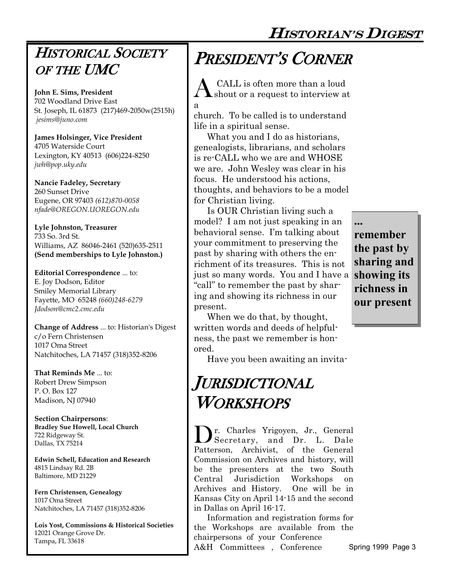HISTORIAN'S DIGEST

### HISTORICAL SOCIETY OF THE UMC

**John E. Sims, President** 702 Woodland Drive East St. Joseph, IL 61873 (217)469-2050w(2515h) *jesims@juno.com*

**James Holsinger, Vice President** 4705 Waterside Court Lexington, KY 40513 (606)224-8250 *jwh@pop.uky.edu*

**Nancie Fadeley, Secretary** 260 Sunset Drive Eugene, OR 97403 *(612)870-0058 nfade@OREGON.UOREGON.edu* 

**Lyle Johnston, Treasurer** 733 So. 3rd St. Williams, AZ 86046-2461 (520)635-2511 **(Send memberships to Lyle Johnston.)**

**Editorial Correspondence** ... to: E. Joy Dodson, Editor Smiley Memorial Library Fayette, MO 65248 *(660)248-6279 Jdodson@cmc2.cmc.edu* 

**Change of Address** ... to: Historian's Digest c/o Fern Christensen 1017 Oma Street Natchitoches, LA 71457 (318)352-8206

**That Reminds Me** ... to: Robert Drew Simpson P. O. Box 127 Madison, NJ 07940

**Section Chairpersons**: **Bradley Sue Howell, Local Church** 722 Ridgeway St. Dallas, TX 75214

**Edwin Schell, Education and Research** 4815 Lindsay Rd. 2B Baltimore, MD 21229

**Fern Christensen, Genealogy** 1017 Oma Street Natchitoches, LA 71457 (318)352-8206

**Lois Yost, Commissions & Historical Societies** 12021 Orange Grove Dr. Tampa, FL 33618

# PRESIDENT'S CORNER

 $\bigwedge$  CALL is often more than a loud<br>shout or a request to interview at CALL is often more than a loud

church. To be called is to understand life in a spiritual sense.

a

What you and I do as historians, genealogists, librarians, and scholars is re-CALL who we are and WHOSE we are. John Wesley was clear in his focus. He understood his actions, thoughts, and behaviors to be a model for Christian living.

Is OUR Christian living such a model? I am not just speaking in an behavioral sense. I'm talking about your commitment to preserving the past by sharing with others the enrichment of its treasures. This is not just so many words. You and I have a "call" to remember the past by sharing and showing its richness in our present.

When we do that, by thought, written words and deeds of helpfulness, the past we remember is honored.

Have you been awaiting an invita-

## JURISDICTIONAL WORKSHOPS

Dr. Charles Yrigoyen, Jr., General Secretary, and Dr. L. Dale Patterson, Archivist, of the General Commission on Archives and history, will be the presenters at the two South Central Jurisdiction Workshops on Archives and History. One will be in Kansas City on April 14-15 and the second in Dallas on April 16-17.

Information and registration forms for the Workshops are available from the chairpersons of your Conference A&H Committees , Conference

**... remember the past by sharing and showing its richness in our present**

Spring 1999 Page 3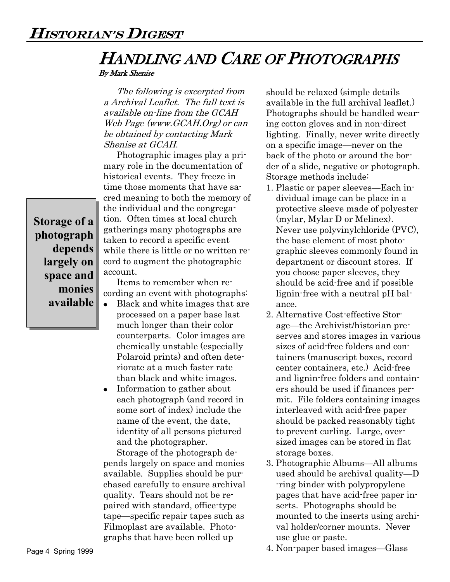# HANDLING AND CARE OF PHOTOGRAPHS

By Mark Shenise

The following is excerpted from a Archival Leaflet. The full text is available on-line from the GCAH Web Page (www.GCAH.Org) or can be obtained by contacting Mark Shenise at GCAH.

Photographic images play a primary role in the documentation of historical events. They freeze in time those moments that have sacred meaning to both the memory of the individual and the congregation. Often times at local church gatherings many photographs are taken to record a specific event while there is little or no written record to augment the photographic account.

**Storage of a photograph depends largely on space and monies available**

Items to remember when recording an event with photographs:

- $\bullet$ Black and white images that are processed on a paper base last much longer than their color counterparts. Color images are chemically unstable (especially Polaroid prints) and often deteriorate at a much faster rate than black and white images.
- Information to gather about each photograph (and record in some sort of index) include the name of the event, the date, identity of all persons pictured and the photographer.

Storage of the photograph depends largely on space and monies available. Supplies should be purchased carefully to ensure archival quality. Tears should not be repaired with standard, office-type tape—specific repair tapes such as Filmoplast are available. Photographs that have been rolled up

should be relaxed (simple details available in the full archival leaflet.) Photographs should be handled wearing cotton gloves and in non-direct lighting. Finally, never write directly on a specific image—never on the back of the photo or around the border of a slide, negative or photograph. Storage methods include:

- 1. Plastic or paper sleeves—Each individual image can be place in a protective sleeve made of polyester (mylar, Mylar D or Melinex). Never use polyvinylchloride (PVC), the base element of most photographic sleeves commonly found in department or discount stores. If you choose paper sleeves, they should be acid-free and if possible lignin-free with a neutral pH balance.
- 2. Alternative Cost-effective Storage—the Archivist/historian preserves and stores images in various sizes of acid-free folders and containers (manuscript boxes, record center containers, etc.) Acid-free and lignin-free folders and containers should be used if finances permit. File folders containing images interleaved with acid-free paper should be packed reasonably tight to prevent curling. Large, oversized images can be stored in flat storage boxes.
- 3. Photographic Albums—All albums used should be archival quality—D -ring binder with polypropylene pages that have acid-free paper inserts. Photographs should be mounted to the inserts using archival holder/corner mounts. Never use glue or paste.
- 4. Non-paper based images—Glass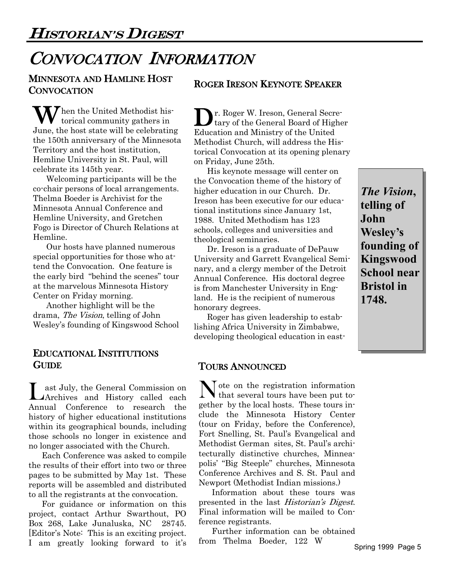## CONVOCATION INFORMATION

### MINNESOTA AND HAMLINE HOST **CONVOCATION**

When the United Methodist historical community gathers in torical community gathers in June, the host state will be celebrating the 150th anniversary of the Minnesota Territory and the host institution, Hemline University in St. Paul, will celebrate its 145th year.

Welcoming participants will be the co-chair persons of local arrangements. Thelma Boeder is Archivist for the Minnesota Annual Conference and Hemline University, and Gretchen Fogo is Director of Church Relations at Hemline.

Our hosts have planned numerous special opportunities for those who attend the Convocation. One feature is the early bird "behind the scenes" tour at the marvelous Minnesota History Center on Friday morning.

Another highlight will be the drama, The Vision, telling of John Wesley's founding of Kingswood School

#### EDUCATIONAL INSTITUTIONS **GUIDE**

L ast July, the General Commission on Archives and History called each Annual Conference to research the history of higher educational institutions within its geographical bounds, including those schools no longer in existence and no longer associated with the Church.

Each Conference was asked to compile the results of their effort into two or three pages to be submitted by May 1st. These reports will be assembled and distributed to all the registrants at the convocation.

 project, contact Arthur Swarthout, PO For guidance or information on this Box 268, Lake Junaluska, NC 28745. [Editor's Note: This is an exciting project. I am greatly looking forward to it's from Thelma Boeder, 122 W Spring 1999 Page 5

### ROGER IRESON KEYNOTE SPEAKER

**D**r. Roger W. Ireson, General Secretary of the General Board of Higher tary of the General Board of Higher Education and Ministry of the United Methodist Church, will address the Historical Convocation at its opening plenary on Friday, June 25th.

His keynote message will center on the Convocation theme of the history of higher education in our Church. Dr. Ireson has been executive for our educational institutions since January 1st, 1988. United Methodism has 123 schools, colleges and universities and theological seminaries.

Dr. Ireson is a graduate of DePauw University and Garrett Evangelical Seminary, and a clergy member of the Detroit Annual Conference. His doctoral degree is from Manchester University in England. He is the recipient of numerous honorary degrees.

Roger has given leadership to establishing Africa University in Zimbabwe, developing theological education in east-

### TOURS ANNOUNCED

N ote on the registration information<br>that several tours have been put tothat several tours have been put together by the local hosts. These tours include the Minnesota History Center (tour on Friday, before the Conference), Fort Snelling, St. Paul's Evangelical and Methodist German sites, St. Paul's architecturally distinctive churches, Minneapolis' "Big Steeple" churches, Minnesota Conference Archives and S. St. Paul and Newport (Methodist Indian missions.)

Information about these tours was presented in the last *Historian's Digest*. Final information will be mailed to Conference registrants.

Further information can be obtained from Thelma Boeder, 122 W

*The Vision***, telling of John Wesley's founding of Kingswood School near Bristol in 1748.**